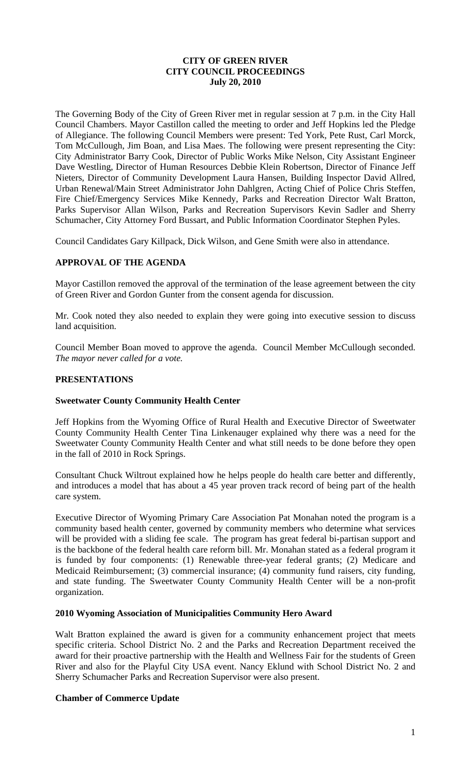### **CITY OF GREEN RIVER CITY COUNCIL PROCEEDINGS July 20, 2010**

The Governing Body of the City of Green River met in regular session at 7 p.m. in the City Hall Council Chambers. Mayor Castillon called the meeting to order and Jeff Hopkins led the Pledge of Allegiance. The following Council Members were present: Ted York, Pete Rust, Carl Morck, Tom McCullough, Jim Boan, and Lisa Maes. The following were present representing the City: City Administrator Barry Cook, Director of Public Works Mike Nelson, City Assistant Engineer Dave Westling, Director of Human Resources Debbie Klein Robertson, Director of Finance Jeff Nieters, Director of Community Development Laura Hansen, Building Inspector David Allred, Urban Renewal/Main Street Administrator John Dahlgren, Acting Chief of Police Chris Steffen, Fire Chief/Emergency Services Mike Kennedy, Parks and Recreation Director Walt Bratton, Parks Supervisor Allan Wilson, Parks and Recreation Supervisors Kevin Sadler and Sherry Schumacher, City Attorney Ford Bussart, and Public Information Coordinator Stephen Pyles.

Council Candidates Gary Killpack, Dick Wilson, and Gene Smith were also in attendance.

### **APPROVAL OF THE AGENDA**

Mayor Castillon removed the approval of the termination of the lease agreement between the city of Green River and Gordon Gunter from the consent agenda for discussion.

Mr. Cook noted they also needed to explain they were going into executive session to discuss land acquisition.

Council Member Boan moved to approve the agenda. Council Member McCullough seconded. *The mayor never called for a vote.*

### **PRESENTATIONS**

### **Sweetwater County Community Health Center**

Jeff Hopkins from the Wyoming Office of Rural Health and Executive Director of Sweetwater County Community Health Center Tina Linkenauger explained why there was a need for the Sweetwater County Community Health Center and what still needs to be done before they open in the fall of 2010 in Rock Springs.

Consultant Chuck Wiltrout explained how he helps people do health care better and differently, and introduces a model that has about a 45 year proven track record of being part of the health care system.

Executive Director of Wyoming Primary Care Association Pat Monahan noted the program is a community based health center, governed by community members who determine what services will be provided with a sliding fee scale. The program has great federal bi-partisan support and is the backbone of the federal health care reform bill. Mr. Monahan stated as a federal program it is funded by four components: (1) Renewable three-year federal grants; (2) Medicare and Medicaid Reimbursement; (3) commercial insurance; (4) community fund raisers, city funding, and state funding. The Sweetwater County Community Health Center will be a non-profit organization.

#### **2010 Wyoming Association of Municipalities Community Hero Award**

Walt Bratton explained the award is given for a community enhancement project that meets specific criteria. School District No. 2 and the Parks and Recreation Department received the award for their proactive partnership with the Health and Wellness Fair for the students of Green River and also for the Playful City USA event. Nancy Eklund with School District No. 2 and Sherry Schumacher Parks and Recreation Supervisor were also present.

### **Chamber of Commerce Update**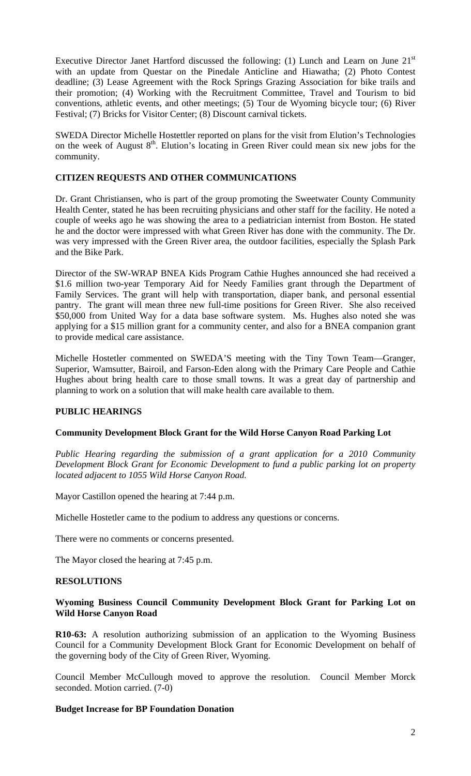Executive Director Janet Hartford discussed the following: (1) Lunch and Learn on June  $21<sup>st</sup>$ with an update from Questar on the Pinedale Anticline and Hiawatha; (2) Photo Contest deadline; (3) Lease Agreement with the Rock Springs Grazing Association for bike trails and their promotion; (4) Working with the Recruitment Committee, Travel and Tourism to bid conventions, athletic events, and other meetings; (5) Tour de Wyoming bicycle tour; (6) River Festival; (7) Bricks for Visitor Center; (8) Discount carnival tickets.

SWEDA Director Michelle Hostettler reported on plans for the visit from Elution's Technologies on the week of August  $8<sup>th</sup>$ . Elution's locating in Green River could mean six new jobs for the community.

### **CITIZEN REQUESTS AND OTHER COMMUNICATIONS**

Dr. Grant Christiansen, who is part of the group promoting the Sweetwater County Community Health Center, stated he has been recruiting physicians and other staff for the facility. He noted a couple of weeks ago he was showing the area to a pediatrician internist from Boston. He stated he and the doctor were impressed with what Green River has done with the community. The Dr. was very impressed with the Green River area, the outdoor facilities, especially the Splash Park and the Bike Park.

Director of the SW-WRAP BNEA Kids Program Cathie Hughes announced she had received a \$1.6 million two-year Temporary Aid for Needy Families grant through the Department of Family Services. The grant will help with transportation, diaper bank, and personal essential pantry. The grant will mean three new full-time positions for Green River. She also received \$50,000 from United Way for a data base software system. Ms. Hughes also noted she was applying for a \$15 million grant for a community center, and also for a BNEA companion grant to provide medical care assistance.

Michelle Hostetler commented on SWEDA'S meeting with the Tiny Town Team—Granger, Superior, Wamsutter, Bairoil, and Farson-Eden along with the Primary Care People and Cathie Hughes about bring health care to those small towns. It was a great day of partnership and planning to work on a solution that will make health care available to them.

### **PUBLIC HEARINGS**

### **Community Development Block Grant for the Wild Horse Canyon Road Parking Lot**

*Public Hearing regarding the submission of a grant application for a 2010 Community Development Block Grant for Economic Development to fund a public parking lot on property located adjacent to 1055 Wild Horse Canyon Road.* 

Mayor Castillon opened the hearing at 7:44 p.m.

Michelle Hostetler came to the podium to address any questions or concerns.

There were no comments or concerns presented.

The Mayor closed the hearing at 7:45 p.m.

#### **RESOLUTIONS**

### **Wyoming Business Council Community Development Block Grant for Parking Lot on Wild Horse Canyon Road**

**R10-63:** A resolution authorizing submission of an application to the Wyoming Business Council for a Community Development Block Grant for Economic Development on behalf of the governing body of the City of Green River, Wyoming.

Council Member McCullough moved to approve the resolution. Council Member Morck seconded. Motion carried. (7-0)

### **Budget Increase for BP Foundation Donation**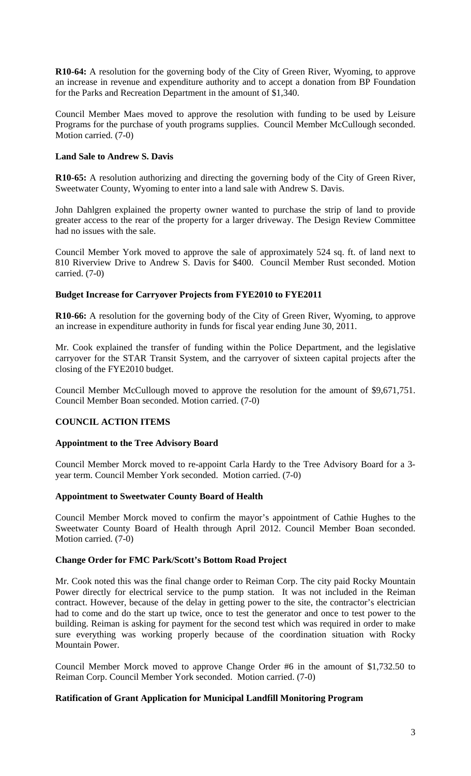**R10-64:** A resolution for the governing body of the City of Green River, Wyoming, to approve an increase in revenue and expenditure authority and to accept a donation from BP Foundation for the Parks and Recreation Department in the amount of \$1,340.

Council Member Maes moved to approve the resolution with funding to be used by Leisure Programs for the purchase of youth programs supplies. Council Member McCullough seconded. Motion carried. (7-0)

## **Land Sale to Andrew S. Davis**

**R10-65:** A resolution authorizing and directing the governing body of the City of Green River, Sweetwater County, Wyoming to enter into a land sale with Andrew S. Davis.

John Dahlgren explained the property owner wanted to purchase the strip of land to provide greater access to the rear of the property for a larger driveway. The Design Review Committee had no issues with the sale.

Council Member York moved to approve the sale of approximately 524 sq. ft. of land next to 810 Riverview Drive to Andrew S. Davis for \$400. Council Member Rust seconded. Motion carried. (7-0)

### **Budget Increase for Carryover Projects from FYE2010 to FYE2011**

**R10-66:** A resolution for the governing body of the City of Green River, Wyoming, to approve an increase in expenditure authority in funds for fiscal year ending June 30, 2011.

Mr. Cook explained the transfer of funding within the Police Department, and the legislative carryover for the STAR Transit System, and the carryover of sixteen capital projects after the closing of the FYE2010 budget.

Council Member McCullough moved to approve the resolution for the amount of \$9,671,751. Council Member Boan seconded. Motion carried. (7-0)

# **COUNCIL ACTION ITEMS**

### **Appointment to the Tree Advisory Board**

Council Member Morck moved to re-appoint Carla Hardy to the Tree Advisory Board for a 3 year term. Council Member York seconded. Motion carried. (7-0)

### **Appointment to Sweetwater County Board of Health**

Council Member Morck moved to confirm the mayor's appointment of Cathie Hughes to the Sweetwater County Board of Health through April 2012. Council Member Boan seconded. Motion carried. (7-0)

### **Change Order for FMC Park/Scott's Bottom Road Project**

Mr. Cook noted this was the final change order to Reiman Corp. The city paid Rocky Mountain Power directly for electrical service to the pump station. It was not included in the Reiman contract. However, because of the delay in getting power to the site, the contractor's electrician had to come and do the start up twice, once to test the generator and once to test power to the building. Reiman is asking for payment for the second test which was required in order to make sure everything was working properly because of the coordination situation with Rocky Mountain Power.

Council Member Morck moved to approve Change Order #6 in the amount of \$1,732.50 to Reiman Corp. Council Member York seconded. Motion carried. (7-0)

### **Ratification of Grant Application for Municipal Landfill Monitoring Program**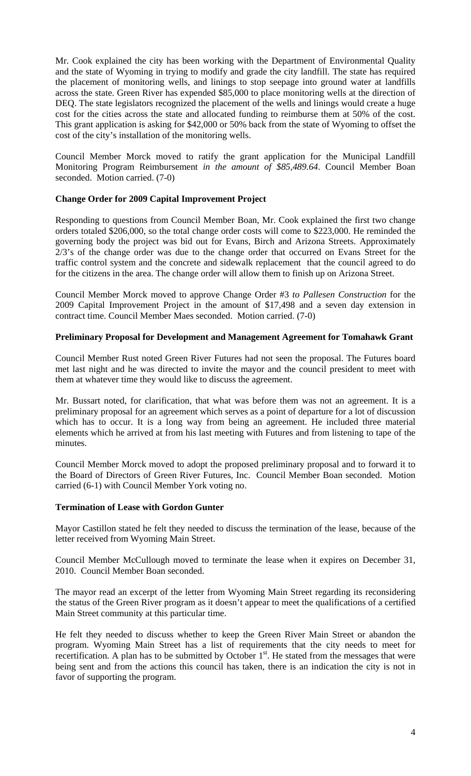Mr. Cook explained the city has been working with the Department of Environmental Quality and the state of Wyoming in trying to modify and grade the city landfill. The state has required the placement of monitoring wells, and linings to stop seepage into ground water at landfills across the state. Green River has expended \$85,000 to place monitoring wells at the direction of DEQ. The state legislators recognized the placement of the wells and linings would create a huge cost for the cities across the state and allocated funding to reimburse them at 50% of the cost. This grant application is asking for \$42,000 or 50% back from the state of Wyoming to offset the cost of the city's installation of the monitoring wells.

Council Member Morck moved to ratify the grant application for the Municipal Landfill Monitoring Program Reimbursement *in the amount of \$85,489.64*. Council Member Boan seconded. Motion carried. (7-0)

### **Change Order for 2009 Capital Improvement Project**

Responding to questions from Council Member Boan, Mr. Cook explained the first two change orders totaled \$206,000, so the total change order costs will come to \$223,000. He reminded the governing body the project was bid out for Evans, Birch and Arizona Streets. Approximately 2/3's of the change order was due to the change order that occurred on Evans Street for the traffic control system and the concrete and sidewalk replacement that the council agreed to do for the citizens in the area. The change order will allow them to finish up on Arizona Street.

Council Member Morck moved to approve Change Order #3 *to Pallesen Construction* for the 2009 Capital Improvement Project in the amount of \$17,498 and a seven day extension in contract time. Council Member Maes seconded. Motion carried. (7-0)

### **Preliminary Proposal for Development and Management Agreement for Tomahawk Grant**

Council Member Rust noted Green River Futures had not seen the proposal. The Futures board met last night and he was directed to invite the mayor and the council president to meet with them at whatever time they would like to discuss the agreement.

Mr. Bussart noted, for clarification, that what was before them was not an agreement. It is a preliminary proposal for an agreement which serves as a point of departure for a lot of discussion which has to occur. It is a long way from being an agreement. He included three material elements which he arrived at from his last meeting with Futures and from listening to tape of the minutes.

Council Member Morck moved to adopt the proposed preliminary proposal and to forward it to the Board of Directors of Green River Futures, Inc. Council Member Boan seconded. Motion carried (6-1) with Council Member York voting no.

### **Termination of Lease with Gordon Gunter**

Mayor Castillon stated he felt they needed to discuss the termination of the lease, because of the letter received from Wyoming Main Street.

Council Member McCullough moved to terminate the lease when it expires on December 31, 2010. Council Member Boan seconded.

The mayor read an excerpt of the letter from Wyoming Main Street regarding its reconsidering the status of the Green River program as it doesn't appear to meet the qualifications of a certified Main Street community at this particular time.

He felt they needed to discuss whether to keep the Green River Main Street or abandon the program. Wyoming Main Street has a list of requirements that the city needs to meet for recertification. A plan has to be submitted by October 1<sup>st</sup>. He stated from the messages that were being sent and from the actions this council has taken, there is an indication the city is not in favor of supporting the program.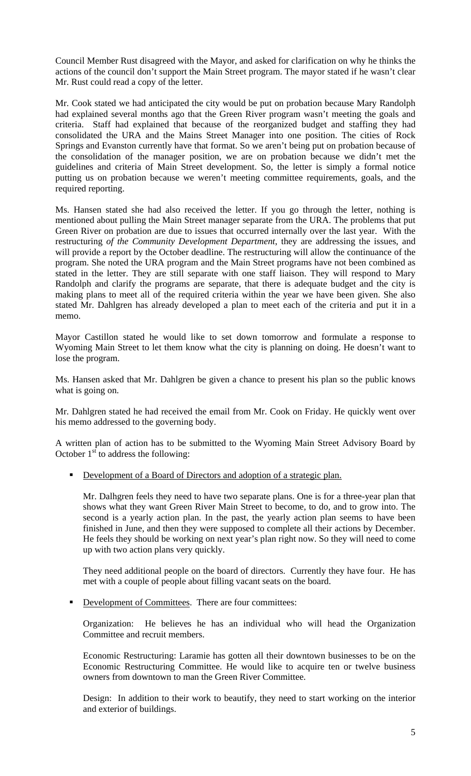Council Member Rust disagreed with the Mayor, and asked for clarification on why he thinks the actions of the council don't support the Main Street program. The mayor stated if he wasn't clear Mr. Rust could read a copy of the letter.

Mr. Cook stated we had anticipated the city would be put on probation because Mary Randolph had explained several months ago that the Green River program wasn't meeting the goals and criteria. Staff had explained that because of the reorganized budget and staffing they had consolidated the URA and the Mains Street Manager into one position. The cities of Rock Springs and Evanston currently have that format. So we aren't being put on probation because of the consolidation of the manager position, we are on probation because we didn't met the guidelines and criteria of Main Street development. So, the letter is simply a formal notice putting us on probation because we weren't meeting committee requirements, goals, and the required reporting.

Ms. Hansen stated she had also received the letter. If you go through the letter, nothing is mentioned about pulling the Main Street manager separate from the URA. The problems that put Green River on probation are due to issues that occurred internally over the last year. With the restructuring *of the Community Development Department*, they are addressing the issues, and will provide a report by the October deadline. The restructuring will allow the continuance of the program. She noted the URA program and the Main Street programs have not been combined as stated in the letter. They are still separate with one staff liaison. They will respond to Mary Randolph and clarify the programs are separate, that there is adequate budget and the city is making plans to meet all of the required criteria within the year we have been given. She also stated Mr. Dahlgren has already developed a plan to meet each of the criteria and put it in a memo.

Mayor Castillon stated he would like to set down tomorrow and formulate a response to Wyoming Main Street to let them know what the city is planning on doing. He doesn't want to lose the program.

Ms. Hansen asked that Mr. Dahlgren be given a chance to present his plan so the public knows what is going on.

Mr. Dahlgren stated he had received the email from Mr. Cook on Friday. He quickly went over his memo addressed to the governing body.

A written plan of action has to be submitted to the Wyoming Main Street Advisory Board by October  $1<sup>st</sup>$  to address the following:

Development of a Board of Directors and adoption of a strategic plan.

Mr. Dalhgren feels they need to have two separate plans. One is for a three-year plan that shows what they want Green River Main Street to become, to do, and to grow into. The second is a yearly action plan. In the past, the yearly action plan seems to have been finished in June, and then they were supposed to complete all their actions by December. He feels they should be working on next year's plan right now. So they will need to come up with two action plans very quickly.

They need additional people on the board of directors. Currently they have four. He has met with a couple of people about filling vacant seats on the board.

Development of Committees. There are four committees:

Organization: He believes he has an individual who will head the Organization Committee and recruit members.

Economic Restructuring: Laramie has gotten all their downtown businesses to be on the Economic Restructuring Committee. He would like to acquire ten or twelve business owners from downtown to man the Green River Committee.

Design: In addition to their work to beautify, they need to start working on the interior and exterior of buildings.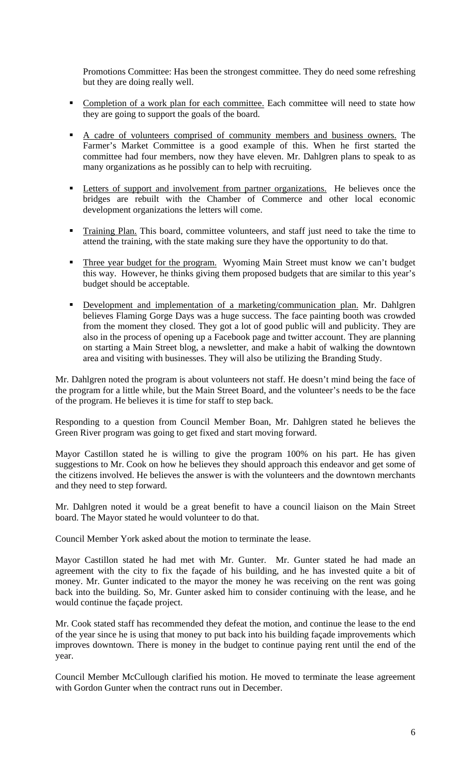Promotions Committee: Has been the strongest committee. They do need some refreshing but they are doing really well.

- Completion of a work plan for each committee. Each committee will need to state how they are going to support the goals of the board.
- A cadre of volunteers comprised of community members and business owners. The Farmer's Market Committee is a good example of this. When he first started the committee had four members, now they have eleven. Mr. Dahlgren plans to speak to as many organizations as he possibly can to help with recruiting.
- **Letters of support and involvement from partner organizations.** He believes once the bridges are rebuilt with the Chamber of Commerce and other local economic development organizations the letters will come.
- Training Plan. This board, committee volunteers, and staff just need to take the time to attend the training, with the state making sure they have the opportunity to do that.
- Three year budget for the program. Wyoming Main Street must know we can't budget this way. However, he thinks giving them proposed budgets that are similar to this year's budget should be acceptable.
- Development and implementation of a marketing/communication plan. Mr. Dahlgren believes Flaming Gorge Days was a huge success. The face painting booth was crowded from the moment they closed. They got a lot of good public will and publicity. They are also in the process of opening up a Facebook page and twitter account. They are planning on starting a Main Street blog, a newsletter, and make a habit of walking the downtown area and visiting with businesses. They will also be utilizing the Branding Study.

Mr. Dahlgren noted the program is about volunteers not staff. He doesn't mind being the face of the program for a little while, but the Main Street Board, and the volunteer's needs to be the face of the program. He believes it is time for staff to step back.

Responding to a question from Council Member Boan, Mr. Dahlgren stated he believes the Green River program was going to get fixed and start moving forward.

Mayor Castillon stated he is willing to give the program 100% on his part. He has given suggestions to Mr. Cook on how he believes they should approach this endeavor and get some of the citizens involved. He believes the answer is with the volunteers and the downtown merchants and they need to step forward.

Mr. Dahlgren noted it would be a great benefit to have a council liaison on the Main Street board. The Mayor stated he would volunteer to do that.

Council Member York asked about the motion to terminate the lease.

Mayor Castillon stated he had met with Mr. Gunter. Mr. Gunter stated he had made an agreement with the city to fix the façade of his building, and he has invested quite a bit of money. Mr. Gunter indicated to the mayor the money he was receiving on the rent was going back into the building. So, Mr. Gunter asked him to consider continuing with the lease, and he would continue the façade project.

Mr. Cook stated staff has recommended they defeat the motion, and continue the lease to the end of the year since he is using that money to put back into his building façade improvements which improves downtown. There is money in the budget to continue paying rent until the end of the year.

Council Member McCullough clarified his motion. He moved to terminate the lease agreement with Gordon Gunter when the contract runs out in December.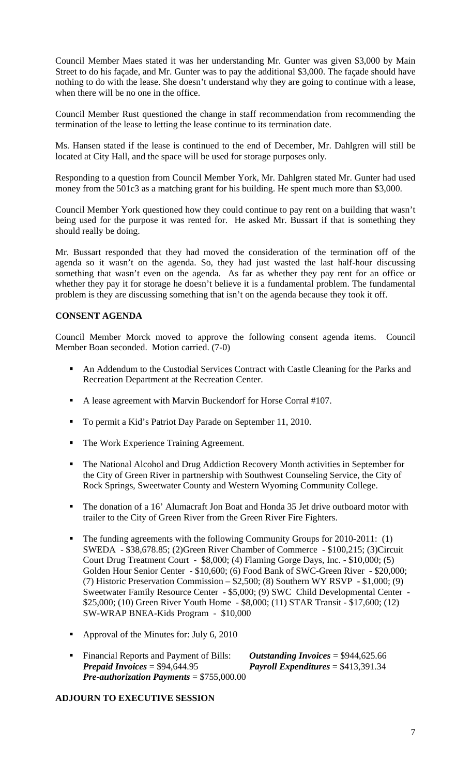Council Member Maes stated it was her understanding Mr. Gunter was given \$3,000 by Main Street to do his façade, and Mr. Gunter was to pay the additional \$3,000. The façade should have nothing to do with the lease. She doesn't understand why they are going to continue with a lease, when there will be no one in the office.

Council Member Rust questioned the change in staff recommendation from recommending the termination of the lease to letting the lease continue to its termination date.

Ms. Hansen stated if the lease is continued to the end of December, Mr. Dahlgren will still be located at City Hall, and the space will be used for storage purposes only.

Responding to a question from Council Member York, Mr. Dahlgren stated Mr. Gunter had used money from the 501c3 as a matching grant for his building. He spent much more than \$3,000.

Council Member York questioned how they could continue to pay rent on a building that wasn't being used for the purpose it was rented for. He asked Mr. Bussart if that is something they should really be doing.

Mr. Bussart responded that they had moved the consideration of the termination off of the agenda so it wasn't on the agenda. So, they had just wasted the last half-hour discussing something that wasn't even on the agenda. As far as whether they pay rent for an office or whether they pay it for storage he doesn't believe it is a fundamental problem. The fundamental problem is they are discussing something that isn't on the agenda because they took it off.

### **CONSENT AGENDA**

Council Member Morck moved to approve the following consent agenda items. Council Member Boan seconded. Motion carried. (7-0)

- An Addendum to the Custodial Services Contract with Castle Cleaning for the Parks and Recreation Department at the Recreation Center.
- A lease agreement with Marvin Buckendorf for Horse Corral #107.
- To permit a Kid's Patriot Day Parade on September 11, 2010.
- The Work Experience Training Agreement.
- The National Alcohol and Drug Addiction Recovery Month activities in September for the City of Green River in partnership with Southwest Counseling Service, the City of Rock Springs, Sweetwater County and Western Wyoming Community College.
- The donation of a 16' Alumacraft Jon Boat and Honda 35 Jet drive outboard motor with trailer to the City of Green River from the Green River Fire Fighters.
- The funding agreements with the following Community Groups for 2010-2011: (1) SWEDA - \$38,678.85; (2)Green River Chamber of Commerce - \$100,215; (3)Circuit Court Drug Treatment Court - \$8,000; (4) Flaming Gorge Days, Inc. - \$10,000; (5) Golden Hour Senior Center - \$10,600; (6) Food Bank of SWC-Green River - \$20,000; (7) Historic Preservation Commission – \$2,500; (8) Southern WY RSVP - \$1,000; (9) Sweetwater Family Resource Center - \$5,000; (9) SWC Child Developmental Center - \$25,000; (10) Green River Youth Home - \$8,000; (11) STAR Transit - \$17,600; (12) SW-WRAP BNEA-Kids Program - \$10,000
- Approval of the Minutes for: July 6, 2010
- Financial Reports and Payment of Bills: *Outstanding Invoices* = \$944,625.66<br>*Prepaid Invoices* = \$94,644.95 *Payroll Expenditures* = \$413,391.34 *Payroll Expenditures*  $= $413,391.34$ *Pre-authorization Payments* = \$755,000.00

### **ADJOURN TO EXECUTIVE SESSION**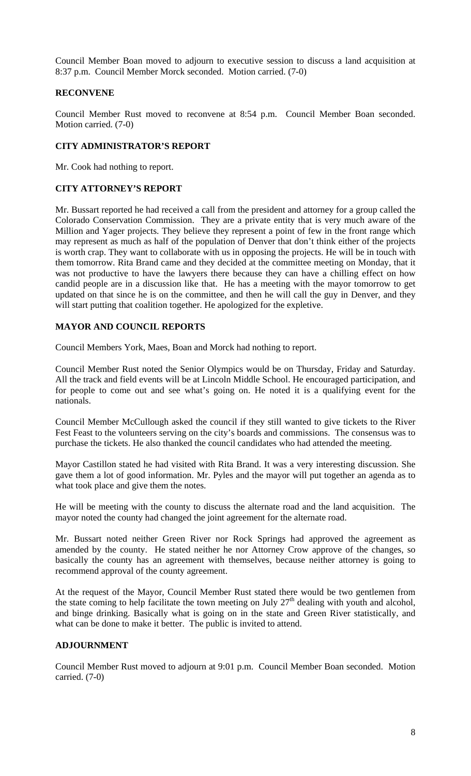Council Member Boan moved to adjourn to executive session to discuss a land acquisition at 8:37 p.m. Council Member Morck seconded. Motion carried. (7-0)

### **RECONVENE**

Council Member Rust moved to reconvene at 8:54 p.m. Council Member Boan seconded. Motion carried. (7-0)

### **CITY ADMINISTRATOR'S REPORT**

Mr. Cook had nothing to report.

## **CITY ATTORNEY'S REPORT**

Mr. Bussart reported he had received a call from the president and attorney for a group called the Colorado Conservation Commission. They are a private entity that is very much aware of the Million and Yager projects. They believe they represent a point of few in the front range which may represent as much as half of the population of Denver that don't think either of the projects is worth crap. They want to collaborate with us in opposing the projects. He will be in touch with them tomorrow. Rita Brand came and they decided at the committee meeting on Monday, that it was not productive to have the lawyers there because they can have a chilling effect on how candid people are in a discussion like that. He has a meeting with the mayor tomorrow to get updated on that since he is on the committee, and then he will call the guy in Denver, and they will start putting that coalition together. He apologized for the expletive.

### **MAYOR AND COUNCIL REPORTS**

Council Members York, Maes, Boan and Morck had nothing to report.

Council Member Rust noted the Senior Olympics would be on Thursday, Friday and Saturday. All the track and field events will be at Lincoln Middle School. He encouraged participation, and for people to come out and see what's going on. He noted it is a qualifying event for the nationals.

Council Member McCullough asked the council if they still wanted to give tickets to the River Fest Feast to the volunteers serving on the city's boards and commissions. The consensus was to purchase the tickets. He also thanked the council candidates who had attended the meeting.

Mayor Castillon stated he had visited with Rita Brand. It was a very interesting discussion. She gave them a lot of good information. Mr. Pyles and the mayor will put together an agenda as to what took place and give them the notes.

He will be meeting with the county to discuss the alternate road and the land acquisition. The mayor noted the county had changed the joint agreement for the alternate road.

Mr. Bussart noted neither Green River nor Rock Springs had approved the agreement as amended by the county. He stated neither he nor Attorney Crow approve of the changes, so basically the county has an agreement with themselves, because neither attorney is going to recommend approval of the county agreement.

At the request of the Mayor, Council Member Rust stated there would be two gentlemen from the state coming to help facilitate the town meeting on July  $27<sup>th</sup>$  dealing with youth and alcohol, and binge drinking. Basically what is going on in the state and Green River statistically, and what can be done to make it better. The public is invited to attend.

# **ADJOURNMENT**

Council Member Rust moved to adjourn at 9:01 p.m. Council Member Boan seconded. Motion carried. (7-0)